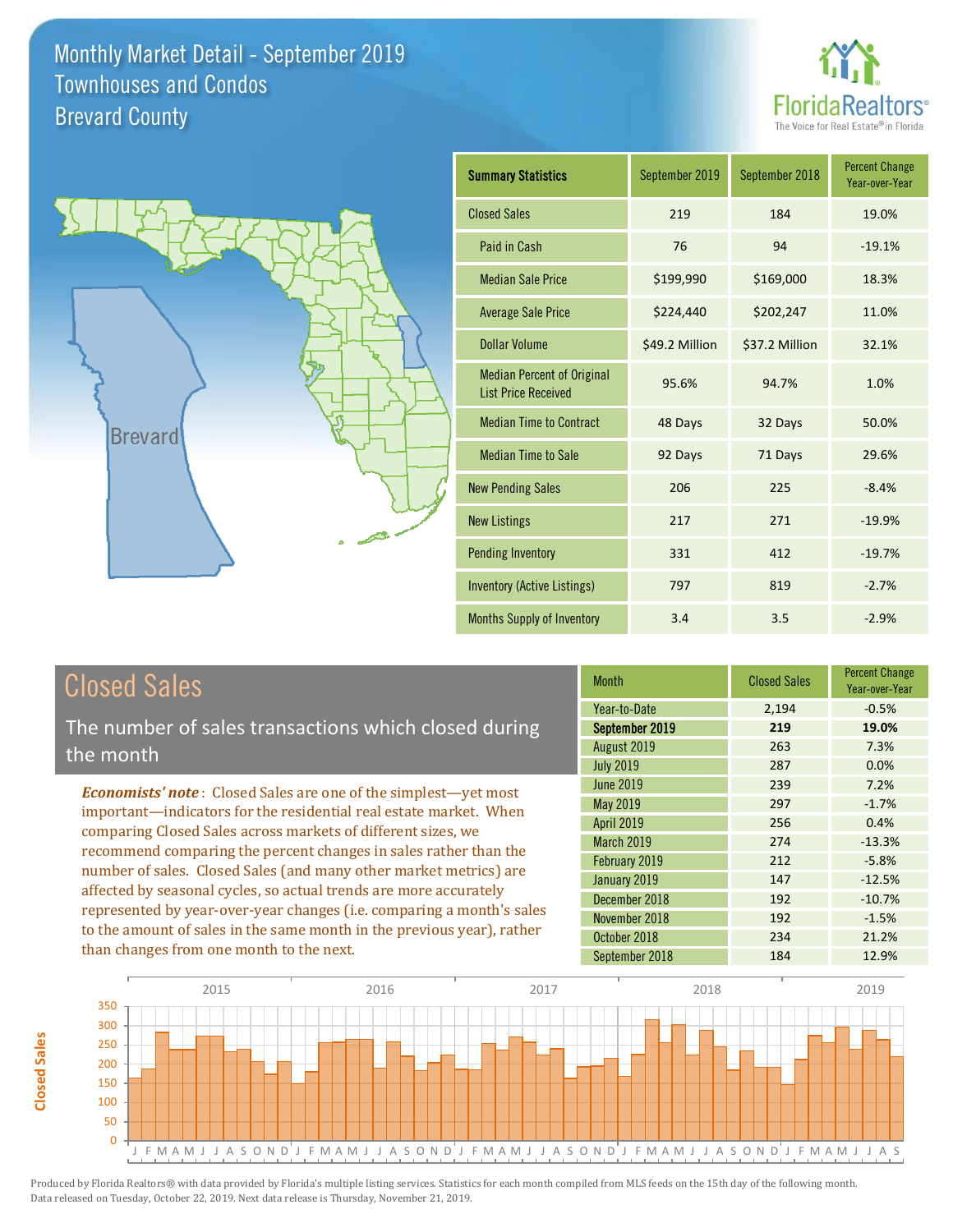



| <b>Summary Statistics</b>                                       | September 2019 | September 2018 | <b>Percent Change</b><br>Year-over-Year |
|-----------------------------------------------------------------|----------------|----------------|-----------------------------------------|
| <b>Closed Sales</b>                                             | 219            | 184            | 19.0%                                   |
| Paid in Cash                                                    | 76             | 94             | $-19.1%$                                |
| <b>Median Sale Price</b>                                        | \$199,990      | \$169,000      | 18.3%                                   |
| <b>Average Sale Price</b>                                       | \$224,440      | \$202,247      | 11.0%                                   |
| <b>Dollar Volume</b>                                            | \$49.2 Million | \$37.2 Million | 32.1%                                   |
| <b>Median Percent of Original</b><br><b>List Price Received</b> | 95.6%          | 94.7%          | 1.0%                                    |
| <b>Median Time to Contract</b>                                  | 48 Days        | 32 Days        | 50.0%                                   |
| <b>Median Time to Sale</b>                                      | 92 Days        | 71 Days        | 29.6%                                   |
| <b>New Pending Sales</b>                                        | 206            | 225            | $-8.4%$                                 |
| <b>New Listings</b>                                             | 217            | 271            | $-19.9%$                                |
| <b>Pending Inventory</b>                                        | 331            | 412            | $-19.7%$                                |
| <b>Inventory (Active Listings)</b>                              | 797            | 819            | $-2.7%$                                 |
| <b>Months Supply of Inventory</b>                               | 3.4            | 3.5            | $-2.9%$                                 |

# Closed Sales

The number of sales transactions which closed during the month

*Economists' note* : Closed Sales are one of the simplest—yet most important—indicators for the residential real estate market. When comparing Closed Sales across markets of different sizes, we recommend comparing the percent changes in sales rather than the number of sales. Closed Sales (and many other market metrics) are affected by seasonal cycles, so actual trends are more accurately represented by year-over-year changes (i.e. comparing a month's sales to the amount of sales in the same month in the previous year), rather than changes from one month to the next.

| <b>Month</b>      | <b>Closed Sales</b> | <b>Percent Change</b><br>Year-over-Year |
|-------------------|---------------------|-----------------------------------------|
| Year-to-Date      | 2,194               | $-0.5%$                                 |
| September 2019    | 219                 | 19.0%                                   |
| August 2019       | 263                 | 7.3%                                    |
| <b>July 2019</b>  | 287                 | 0.0%                                    |
| <b>June 2019</b>  | 239                 | 7.2%                                    |
| May 2019          | 297                 | $-1.7%$                                 |
| <b>April 2019</b> | 256                 | 0.4%                                    |
| March 2019        | 274                 | $-13.3%$                                |
| February 2019     | 212                 | $-5.8%$                                 |
| January 2019      | 147                 | $-12.5%$                                |
| December 2018     | 192                 | $-10.7%$                                |
| November 2018     | 192                 | $-1.5%$                                 |
| October 2018      | 234                 | 21.2%                                   |
| September 2018    | 184                 | 12.9%                                   |

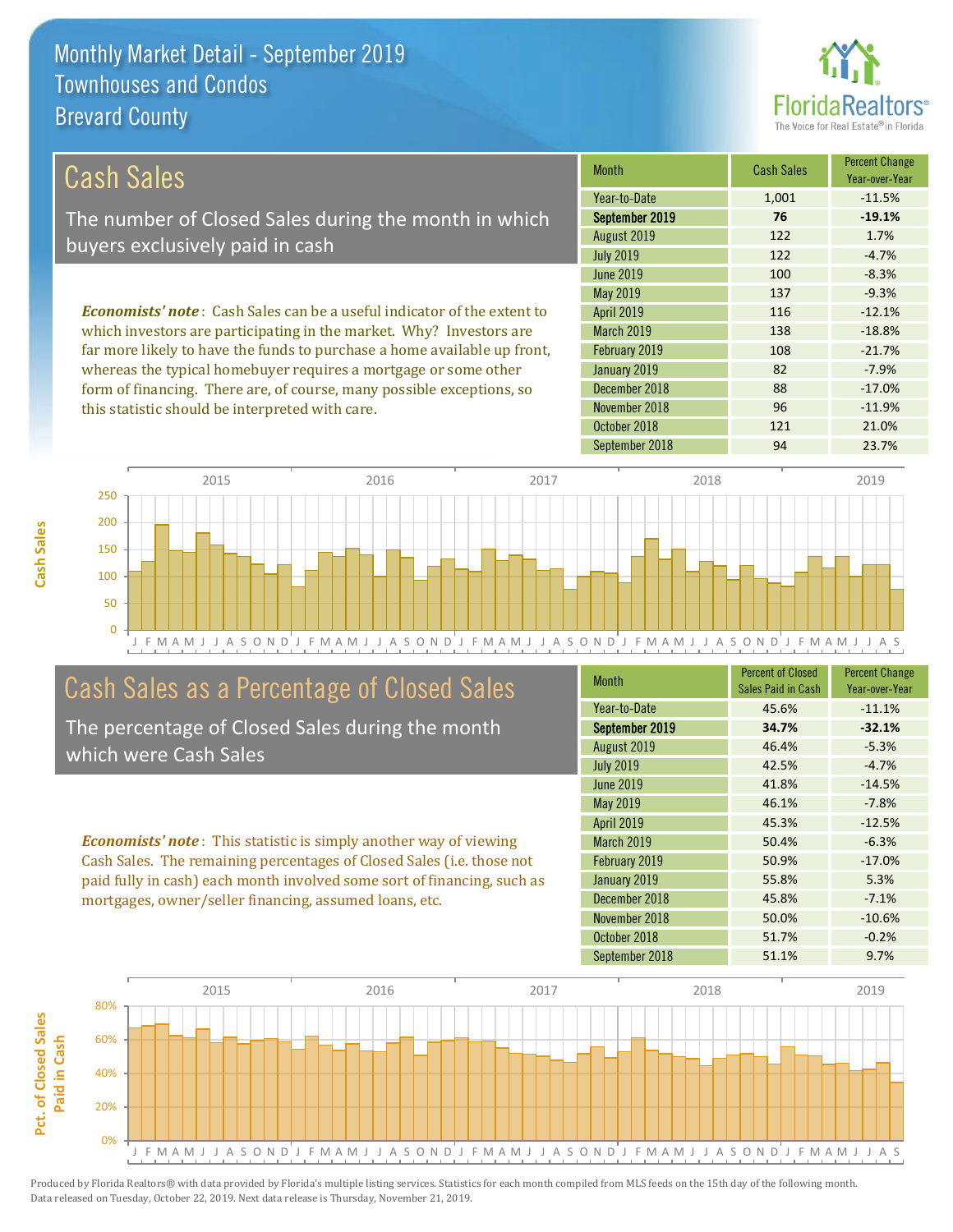this statistic should be interpreted with care.



96 -11.9%

| Cash Sales                                                                     | <b>Month</b>      | <b>Cash Sales</b> | <b>Percent Change</b><br>Year-over-Year |
|--------------------------------------------------------------------------------|-------------------|-------------------|-----------------------------------------|
|                                                                                | Year-to-Date      | 1,001             | $-11.5%$                                |
| The number of Closed Sales during the month in which                           | September 2019    | 76                | $-19.1%$                                |
| buyers exclusively paid in cash                                                | August 2019       | 122               | 1.7%                                    |
|                                                                                | <b>July 2019</b>  | 122               | $-4.7%$                                 |
|                                                                                | June 2019         | 100               | $-8.3%$                                 |
|                                                                                | May 2019          | 137               | $-9.3%$                                 |
| <b>Economists' note:</b> Cash Sales can be a useful indicator of the extent to | <b>April 2019</b> | 116               | $-12.1%$                                |
| which investors are participating in the market. Why? Investors are            | <b>March 2019</b> | 138               | $-18.8%$                                |
| far more likely to have the funds to purchase a home available up front,       | February 2019     | 108               | $-21.7%$                                |
| whereas the typical homebuyer requires a mortgage or some other                | January 2019      | 82                | $-7.9%$                                 |
| form of financing. There are, of course, many possible exceptions, so          | December 2018     | 88                | $-17.0%$                                |

J F M A M J J A S O N D J F M A M J J A S O N D J F M A M J J A S O N D J F M A M J J A S O N D J F M A M J J A S 0 50 100 150 200 250 2015 2016 2017 2018 2019

## Cash Sales as a Percentage of Closed Sales

The percentage of Closed Sales during the month which were Cash Sales

*Economists' note* : This statistic is simply another way of viewing Cash Sales. The remaining percentages of Closed Sales (i.e. those not paid fully in cash) each month involved some sort of financing, such as mortgages, owner/seller financing, assumed loans, etc.

| <b>Month</b>      | <b>Percent of Closed</b><br>Sales Paid in Cash | <b>Percent Change</b><br>Year-over-Year |
|-------------------|------------------------------------------------|-----------------------------------------|
| Year-to-Date      | 45.6%                                          | $-11.1%$                                |
| September 2019    | 34.7%                                          | $-32.1%$                                |
| August 2019       | 46.4%                                          | $-5.3%$                                 |
| <b>July 2019</b>  | 42.5%                                          | $-4.7%$                                 |
| <b>June 2019</b>  | 41.8%                                          | $-14.5%$                                |
| May 2019          | 46.1%                                          | $-7.8%$                                 |
| <b>April 2019</b> | 45.3%                                          | $-12.5%$                                |
| <b>March 2019</b> | 50.4%                                          | $-6.3%$                                 |
| February 2019     | 50.9%                                          | $-17.0%$                                |
| January 2019      | 55.8%                                          | 5.3%                                    |
| December 2018     | 45.8%                                          | $-7.1%$                                 |
| November 2018     | 50.0%                                          | $-10.6%$                                |
| October 2018      | 51.7%                                          | $-0.2%$                                 |
| September 2018    | 51.1%                                          | 9.7%                                    |

October 2018 121 21.0%

November 2018

September 2018 **94** 23.7%

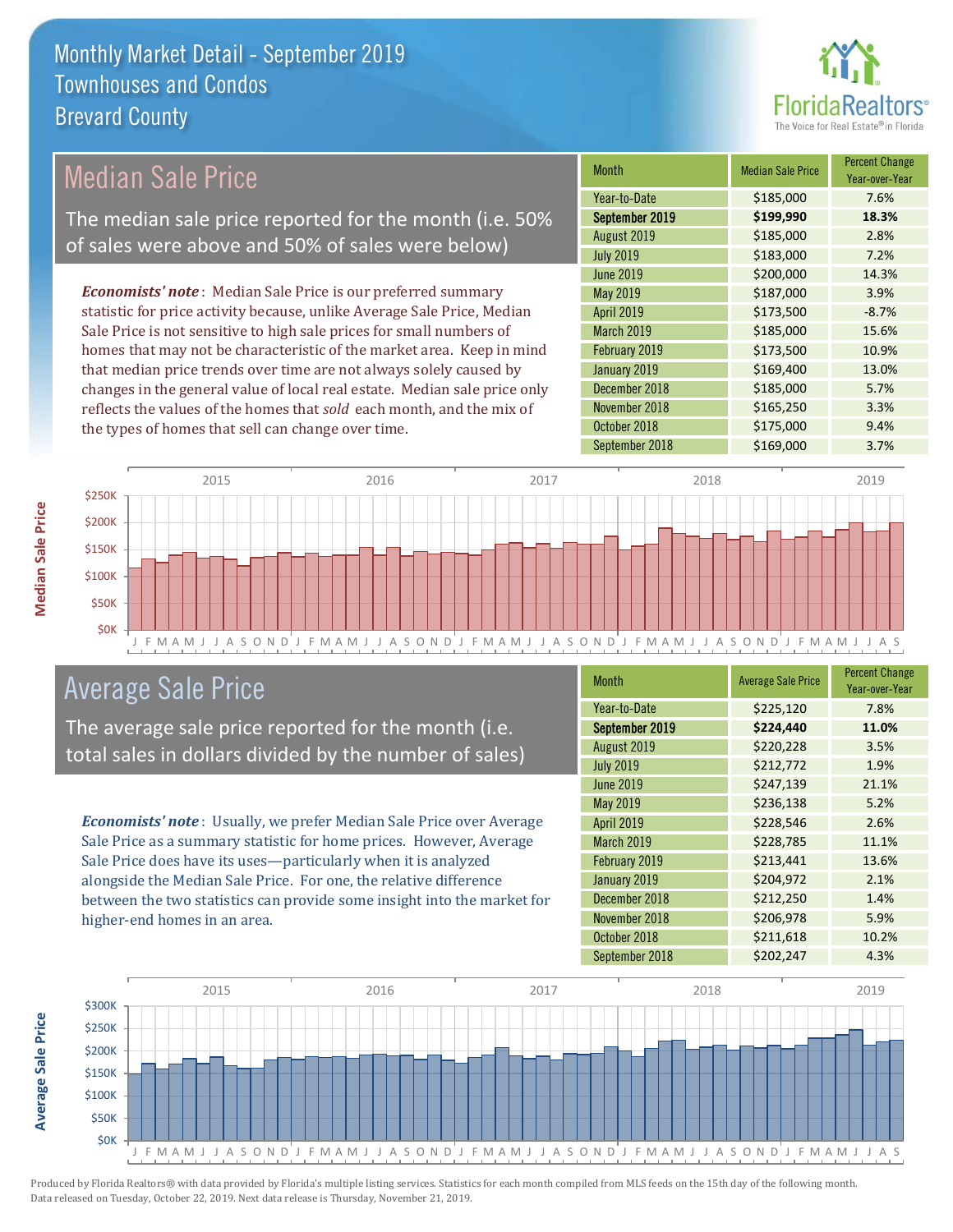

## Median Sale Price

The median sale price reported for the month (i.e. 50% of sales were above and 50% of sales were below)

*Economists' note* : Median Sale Price is our preferred summary statistic for price activity because, unlike Average Sale Price, Median Sale Price is not sensitive to high sale prices for small numbers of homes that may not be characteristic of the market area. Keep in mind that median price trends over time are not always solely caused by changes in the general value of local real estate. Median sale price only reflects the values of the homes that *sold* each month, and the mix of the types of homes that sell can change over time.

| <b>Month</b>      | <b>Median Sale Price</b> | <b>Percent Change</b><br>Year-over-Year |
|-------------------|--------------------------|-----------------------------------------|
| Year-to-Date      | \$185,000                | 7.6%                                    |
| September 2019    | \$199,990                | 18.3%                                   |
| August 2019       | \$185,000                | 2.8%                                    |
| <b>July 2019</b>  | \$183,000                | 7.2%                                    |
| <b>June 2019</b>  | \$200,000                | 14.3%                                   |
| May 2019          | \$187,000                | 3.9%                                    |
| April 2019        | \$173,500                | $-8.7%$                                 |
| <b>March 2019</b> | \$185,000                | 15.6%                                   |
| February 2019     | \$173,500                | 10.9%                                   |
| January 2019      | \$169,400                | 13.0%                                   |
| December 2018     | \$185,000                | 5.7%                                    |
| November 2018     | \$165,250                | 3.3%                                    |
| October 2018      | \$175,000                | 9.4%                                    |
| September 2018    | \$169,000                | 3.7%                                    |



## Average Sale Price

The average sale price reported for the month (i.e. total sales in dollars divided by the number of sales)

*Economists' note* : Usually, we prefer Median Sale Price over Average Sale Price as a summary statistic for home prices. However, Average Sale Price does have its uses—particularly when it is analyzed alongside the Median Sale Price. For one, the relative difference between the two statistics can provide some insight into the market for higher-end homes in an area.

| <b>Month</b>      | <b>Average Sale Price</b> | <b>Percent Change</b><br>Year-over-Year |
|-------------------|---------------------------|-----------------------------------------|
| Year-to-Date      | \$225,120                 | 7.8%                                    |
| September 2019    | \$224,440                 | 11.0%                                   |
| August 2019       | \$220,228                 | 3.5%                                    |
| <b>July 2019</b>  | \$212,772                 | 1.9%                                    |
| <b>June 2019</b>  | \$247,139                 | 21.1%                                   |
| May 2019          | \$236,138                 | 5.2%                                    |
| <b>April 2019</b> | \$228,546                 | 2.6%                                    |
| <b>March 2019</b> | \$228,785                 | 11.1%                                   |
| February 2019     | \$213,441                 | 13.6%                                   |
| January 2019      | \$204,972                 | 2.1%                                    |
| December 2018     | \$212,250                 | 1.4%                                    |
| November 2018     | \$206,978                 | 5.9%                                    |
| October 2018      | \$211,618                 | 10.2%                                   |
| September 2018    | \$202,247                 | 4.3%                                    |



**Median Sale Price**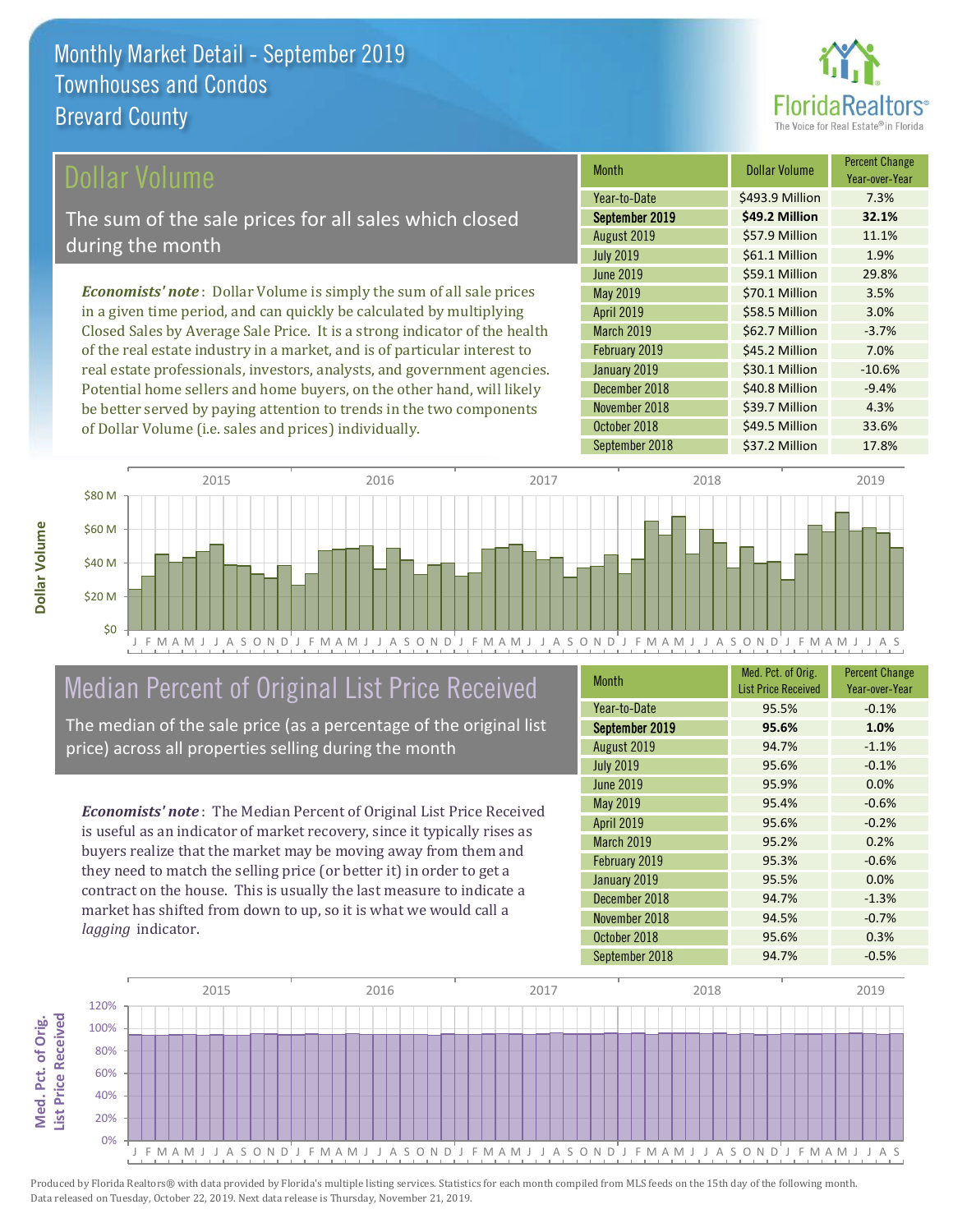

## ollar Volume

The sum of the sale prices for all sales which closed during the month

*Economists' note* : Dollar Volume is simply the sum of all sale prices in a given time period, and can quickly be calculated by multiplying Closed Sales by Average Sale Price. It is a strong indicator of the health of the real estate industry in a market, and is of particular interest to real estate professionals, investors, analysts, and government agencies. Potential home sellers and home buyers, on the other hand, will likely be better served by paying attention to trends in the two components of Dollar Volume (i.e. sales and prices) individually.

| <b>Month</b>      | Dollar Volume   | <b>Percent Change</b><br>Year-over-Year |
|-------------------|-----------------|-----------------------------------------|
| Year-to-Date      | \$493.9 Million | 7.3%                                    |
| September 2019    | \$49.2 Million  | 32.1%                                   |
| August 2019       | \$57.9 Million  | 11.1%                                   |
| <b>July 2019</b>  | \$61.1 Million  | 1.9%                                    |
| <b>June 2019</b>  | \$59.1 Million  | 29.8%                                   |
| May 2019          | \$70.1 Million  | 3.5%                                    |
| <b>April 2019</b> | \$58.5 Million  | 3.0%                                    |
| <b>March 2019</b> | \$62.7 Million  | $-3.7%$                                 |
| February 2019     | \$45.2 Million  | 7.0%                                    |
| January 2019      | \$30.1 Million  | $-10.6%$                                |
| December 2018     | \$40.8 Million  | $-9.4%$                                 |
| November 2018     | \$39.7 Million  | 4.3%                                    |
| October 2018      | \$49.5 Million  | 33.6%                                   |
| September 2018    | \$37.2 Million  | 17.8%                                   |



# Median Percent of Original List Price Received

The median of the sale price (as a percentage of the original list price) across all properties selling during the month

*Economists' note* : The Median Percent of Original List Price Received is useful as an indicator of market recovery, since it typically rises as buyers realize that the market may be moving away from them and they need to match the selling price (or better it) in order to get a contract on the house. This is usually the last measure to indicate a market has shifted from down to up, so it is what we would call a *lagging* indicator.

| <b>Month</b>      | Med. Pct. of Orig.<br><b>List Price Received</b> | <b>Percent Change</b><br>Year-over-Year |
|-------------------|--------------------------------------------------|-----------------------------------------|
| Year-to-Date      | 95.5%                                            | $-0.1%$                                 |
| September 2019    | 95.6%                                            | 1.0%                                    |
| August 2019       | 94.7%                                            | $-1.1%$                                 |
| <b>July 2019</b>  | 95.6%                                            | $-0.1%$                                 |
| <b>June 2019</b>  | 95.9%                                            | 0.0%                                    |
| <b>May 2019</b>   | 95.4%                                            | $-0.6%$                                 |
| <b>April 2019</b> | 95.6%                                            | $-0.2%$                                 |
| March 2019        | 95.2%                                            | 0.2%                                    |
| February 2019     | 95.3%                                            | $-0.6%$                                 |
| January 2019      | 95.5%                                            | 0.0%                                    |
| December 2018     | 94.7%                                            | $-1.3%$                                 |
| November 2018     | 94.5%                                            | $-0.7%$                                 |
| October 2018      | 95.6%                                            | 0.3%                                    |
| September 2018    | 94.7%                                            | $-0.5%$                                 |

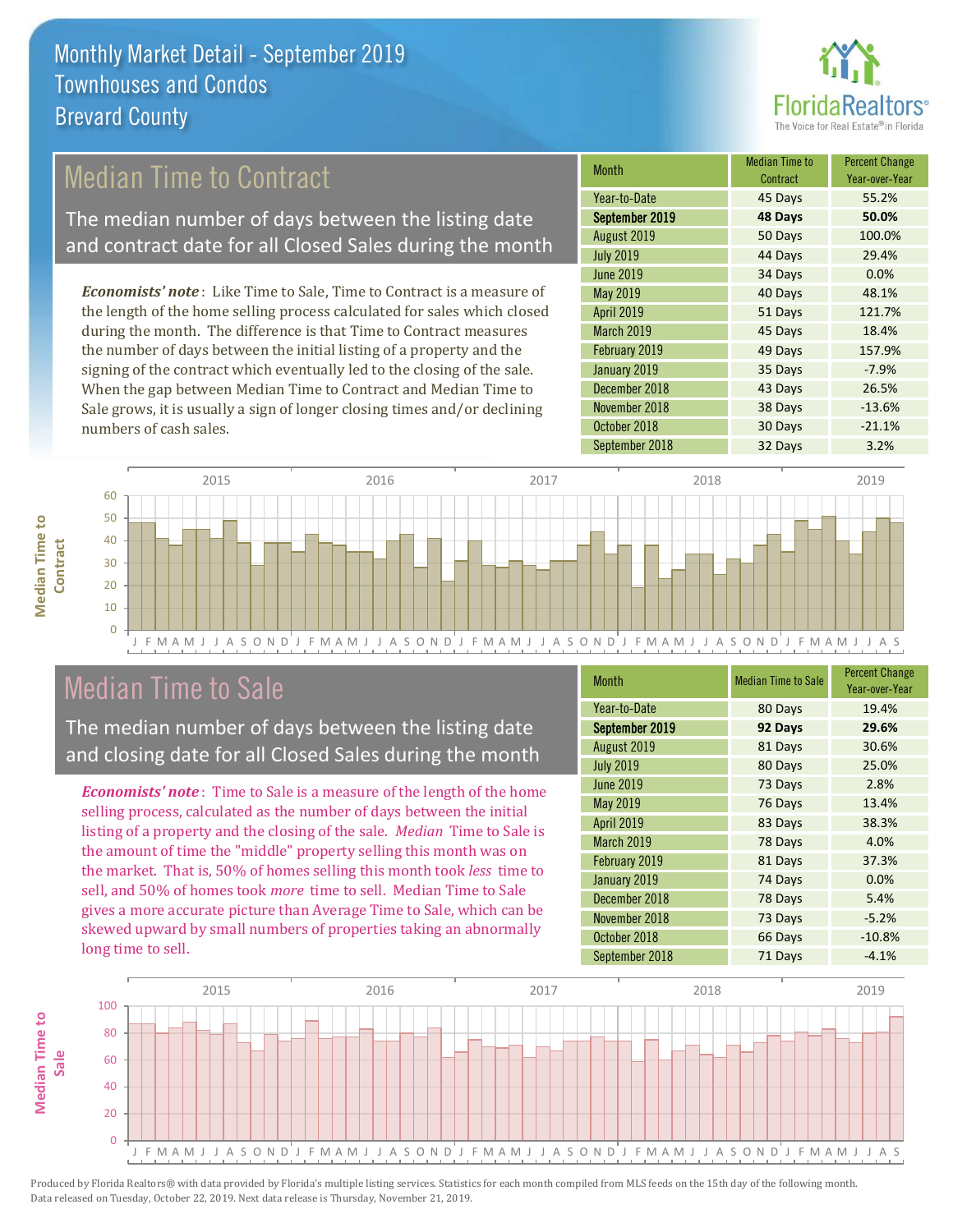

## Median Time to Contract

The median number of days between the listing date and contract date for all Closed Sales during the month

*Economists' note* : Like Time to Sale, Time to Contract is a measure of the length of the home selling process calculated for sales which closed during the month. The difference is that Time to Contract measures the number of days between the initial listing of a property and the signing of the contract which eventually led to the closing of the sale. When the gap between Median Time to Contract and Median Time to Sale grows, it is usually a sign of longer closing times and/or declining numbers of cash sales.

| <b>Month</b>      | <b>Median Time to</b><br>Contract | <b>Percent Change</b><br>Year-over-Year |
|-------------------|-----------------------------------|-----------------------------------------|
| Year-to-Date      | 45 Days                           | 55.2%                                   |
| September 2019    | 48 Days                           | 50.0%                                   |
| August 2019       | 50 Days                           | 100.0%                                  |
| <b>July 2019</b>  | 44 Days                           | 29.4%                                   |
| <b>June 2019</b>  | 34 Days                           | 0.0%                                    |
| <b>May 2019</b>   | 40 Days                           | 48.1%                                   |
| <b>April 2019</b> | 51 Days                           | 121.7%                                  |
| <b>March 2019</b> | 45 Days                           | 18.4%                                   |
| February 2019     | 49 Days                           | 157.9%                                  |
| January 2019      | 35 Days                           | $-7.9%$                                 |
| December 2018     | 43 Days                           | 26.5%                                   |
| November 2018     | 38 Days                           | $-13.6%$                                |
| October 2018      | 30 Days                           | $-21.1%$                                |
| September 2018    | 32 Days                           | 3.2%                                    |



## Median Time to Sale

**Median Time to Contract**

**Median Time to** 

The median number of days between the listing date and closing date for all Closed Sales during the month

*Economists' note* : Time to Sale is a measure of the length of the home selling process, calculated as the number of days between the initial listing of a property and the closing of the sale. *Median* Time to Sale is the amount of time the "middle" property selling this month was on the market. That is, 50% of homes selling this month took *less* time to sell, and 50% of homes took *more* time to sell. Median Time to Sale gives a more accurate picture than Average Time to Sale, which can be skewed upward by small numbers of properties taking an abnormally long time to sell.

| <b>Month</b>      | <b>Median Time to Sale</b> | <b>Percent Change</b><br>Year-over-Year |
|-------------------|----------------------------|-----------------------------------------|
| Year-to-Date      | 80 Days                    | 19.4%                                   |
| September 2019    | 92 Days                    | 29.6%                                   |
| August 2019       | 81 Days                    | 30.6%                                   |
| <b>July 2019</b>  | 80 Days                    | 25.0%                                   |
| <b>June 2019</b>  | 73 Days                    | 2.8%                                    |
| May 2019          | 76 Days                    | 13.4%                                   |
| <b>April 2019</b> | 83 Days                    | 38.3%                                   |
| <b>March 2019</b> | 78 Days                    | 4.0%                                    |
| February 2019     | 81 Days                    | 37.3%                                   |
| January 2019      | 74 Days                    | 0.0%                                    |
| December 2018     | 78 Days                    | 5.4%                                    |
| November 2018     | 73 Days                    | $-5.2%$                                 |
| October 2018      | 66 Days                    | $-10.8%$                                |
| September 2018    | 71 Days                    | $-4.1%$                                 |

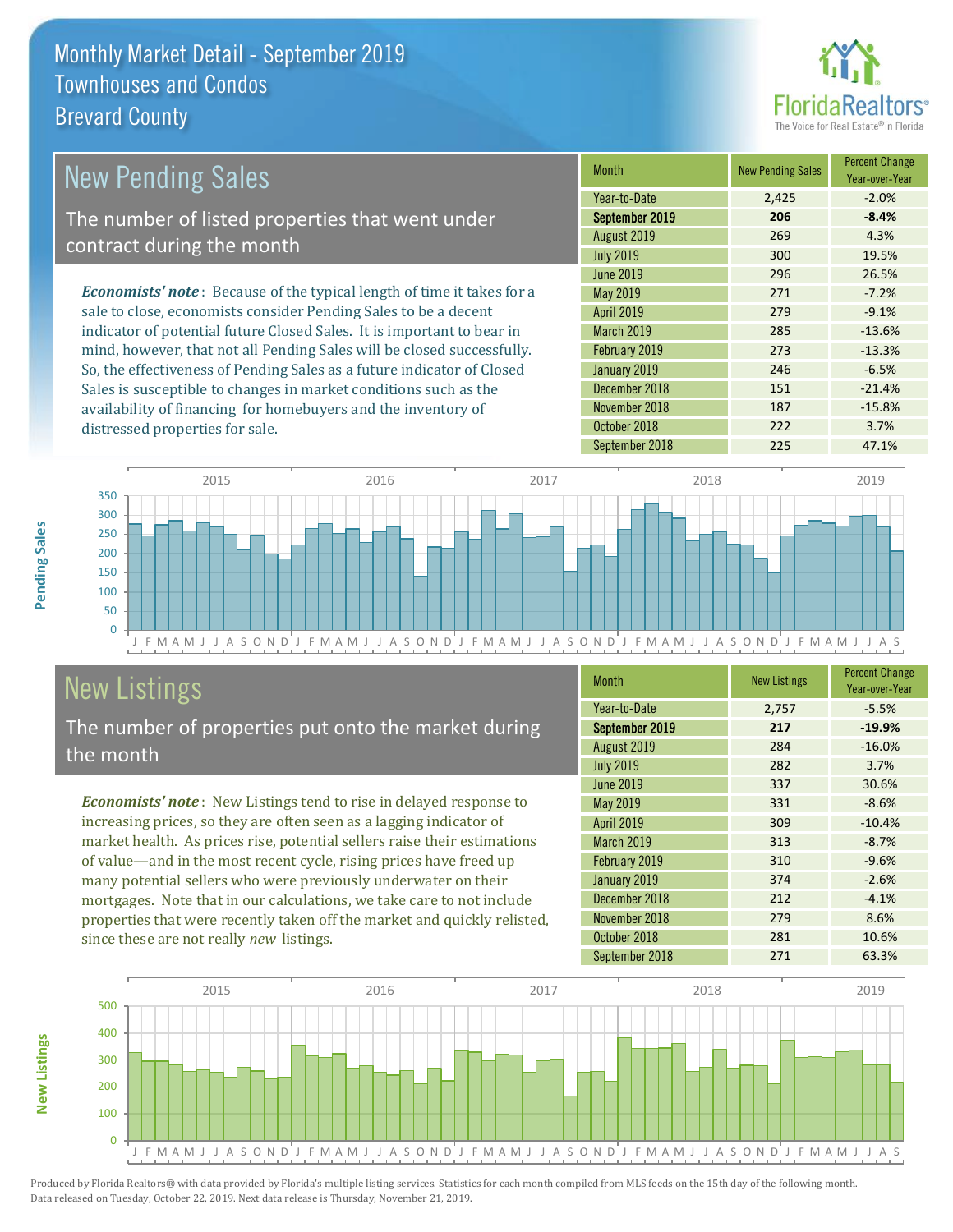

| <b>New Pending Sales</b>                                                       | <b>Month</b>      | <b>New Pending Sales</b> | <b>Percent Change</b><br>Year-over-Year |
|--------------------------------------------------------------------------------|-------------------|--------------------------|-----------------------------------------|
|                                                                                | Year-to-Date      | 2,425                    | $-2.0%$                                 |
| The number of listed properties that went under                                | September 2019    | 206                      | $-8.4%$                                 |
| contract during the month                                                      | August 2019       | 269                      | 4.3%                                    |
|                                                                                | <b>July 2019</b>  | 300                      | 19.5%                                   |
|                                                                                | June 2019         | 296                      | 26.5%                                   |
| <b>Economists' note</b> : Because of the typical length of time it takes for a | May 2019          | 271                      | $-7.2%$                                 |
| sale to close, economists consider Pending Sales to be a decent                | <b>April 2019</b> | 279                      | $-9.1%$                                 |
| indicator of potential future Closed Sales. It is important to bear in         | <b>March 2019</b> | 285                      | $-13.6%$                                |
| mind, however, that not all Pending Sales will be closed successfully.         | February 2019     | 273                      | $-13.3%$                                |
| So, the effectiveness of Pending Sales as a future indicator of Closed         | January 2019      | 246                      | $-6.5%$                                 |
| Sales is susceptible to changes in market conditions such as the               | December 2018     | 151                      | $-21.4%$                                |
| availability of financing for homebuyers and the inventory of                  | November 2018     | 187                      | $-15.8%$                                |



# New Listings

distressed properties for sale.

The number of properties put onto the market during the month

*Economists' note* : New Listings tend to rise in delayed response to increasing prices, so they are often seen as a lagging indicator of market health. As prices rise, potential sellers raise their estimations of value—and in the most recent cycle, rising prices have freed up many potential sellers who were previously underwater on their mortgages. Note that in our calculations, we take care to not include properties that were recently taken off the market and quickly relisted, since these are not really *new* listings.

| <b>Month</b>     | <b>New Listings</b> | <b>Percent Change</b><br>Year-over-Year |
|------------------|---------------------|-----------------------------------------|
| Year-to-Date     | 2,757               | $-5.5%$                                 |
| September 2019   | 217                 | $-19.9%$                                |
| August 2019      | 284                 | $-16.0%$                                |
| <b>July 2019</b> | 282                 | 3.7%                                    |
| <b>June 2019</b> | 337                 | 30.6%                                   |
| <b>May 2019</b>  | 331                 | $-8.6%$                                 |
| April 2019       | 309                 | $-10.4%$                                |
| March 2019       | 313                 | $-8.7%$                                 |
| February 2019    | 310                 | $-9.6%$                                 |
| January 2019     | 374                 | $-2.6%$                                 |
| December 2018    | 212                 | $-4.1%$                                 |
| November 2018    | 279                 | 8.6%                                    |
| October 2018     | 281                 | 10.6%                                   |
| September 2018   | 271                 | 63.3%                                   |

September 2018 225 47.1%

October 2018 222 3.7%



Produced by Florida Realtors® with data provided by Florida's multiple listing services. Statistics for each month compiled from MLS feeds on the 15th day of the following month. Data released on Tuesday, October 22, 2019. Next data release is Thursday, November 21, 2019.

**New Listings**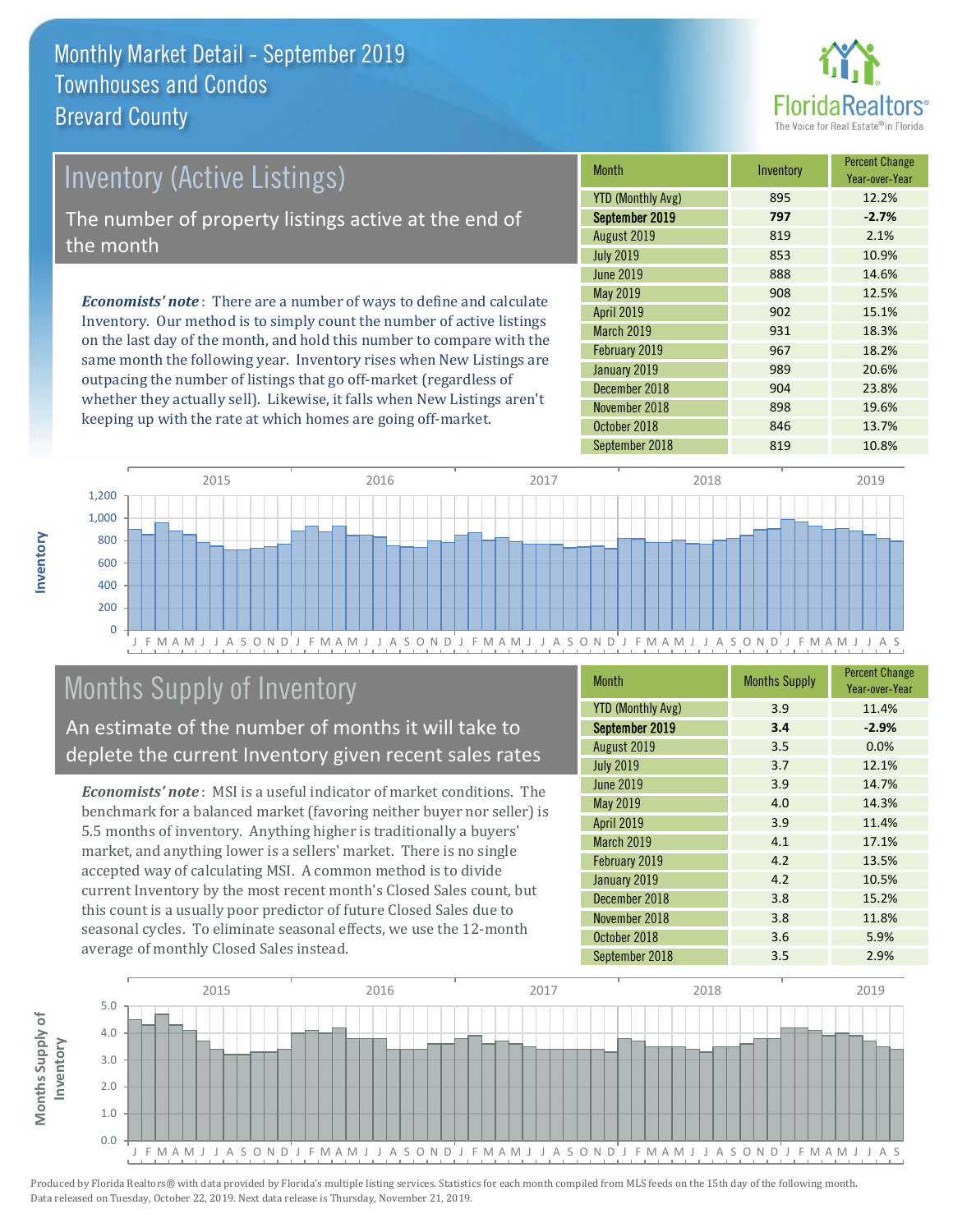

# *Economists' note* : There are a number of ways to define and calculate Inventory. Our method is to simply count the number of active listings Inventory (Active Listings) The number of property listings active at the end of the month

on the last day of the month, and hold this number to compare with the same month the following year. Inventory rises when New Listings are outpacing the number of listings that go off-market (regardless of whether they actually sell). Likewise, it falls when New Listings aren't keeping up with the rate at which homes are going off-market.

| <b>Month</b>             | Inventory | <b>Percent Change</b><br>Year-over-Year |
|--------------------------|-----------|-----------------------------------------|
| <b>YTD (Monthly Avg)</b> | 895       | 12.2%                                   |
| September 2019           | 797       | $-2.7%$                                 |
| August 2019              | 819       | 2.1%                                    |
| <b>July 2019</b>         | 853       | 10.9%                                   |
| <b>June 2019</b>         | 888       | 14.6%                                   |
| May 2019                 | 908       | 12.5%                                   |
| April 2019               | 902       | 15.1%                                   |
| <b>March 2019</b>        | 931       | 18.3%                                   |
| February 2019            | 967       | 18.2%                                   |
| January 2019             | 989       | 20.6%                                   |
| December 2018            | 904       | 23.8%                                   |
| November 2018            | 898       | 19.6%                                   |
| October 2018             | 846       | 13.7%                                   |
| September 2018           | 819       | 10.8%                                   |



# Months Supply of Inventory

An estimate of the number of months it will take to deplete the current Inventory given recent sales rates

*Economists' note* : MSI is a useful indicator of market conditions. The benchmark for a balanced market (favoring neither buyer nor seller) is 5.5 months of inventory. Anything higher is traditionally a buyers' market, and anything lower is a sellers' market. There is no single accepted way of calculating MSI. A common method is to divide current Inventory by the most recent month's Closed Sales count, but this count is a usually poor predictor of future Closed Sales due to seasonal cycles. To eliminate seasonal effects, we use the 12-month average of monthly Closed Sales instead.

| <b>Month</b>             | <b>Months Supply</b> | <b>Percent Change</b><br>Year-over-Year |
|--------------------------|----------------------|-----------------------------------------|
| <b>YTD (Monthly Avg)</b> | 3.9                  | 11.4%                                   |
| September 2019           | 3.4                  | $-2.9%$                                 |
| August 2019              | 3.5                  | 0.0%                                    |
| <b>July 2019</b>         | 3.7                  | 12.1%                                   |
| <b>June 2019</b>         | 3.9                  | 14.7%                                   |
| May 2019                 | 4.0                  | 14.3%                                   |
| <b>April 2019</b>        | 3.9                  | 11.4%                                   |
| <b>March 2019</b>        | 4.1                  | 17.1%                                   |
| February 2019            | 4.2                  | 13.5%                                   |
| January 2019             | 4.2                  | 10.5%                                   |
| December 2018            | 3.8                  | 15.2%                                   |
| November 2018            | 3.8                  | 11.8%                                   |
| October 2018             | 3.6                  | 5.9%                                    |
| September 2018           | 3.5                  | 2.9%                                    |



**Inventory**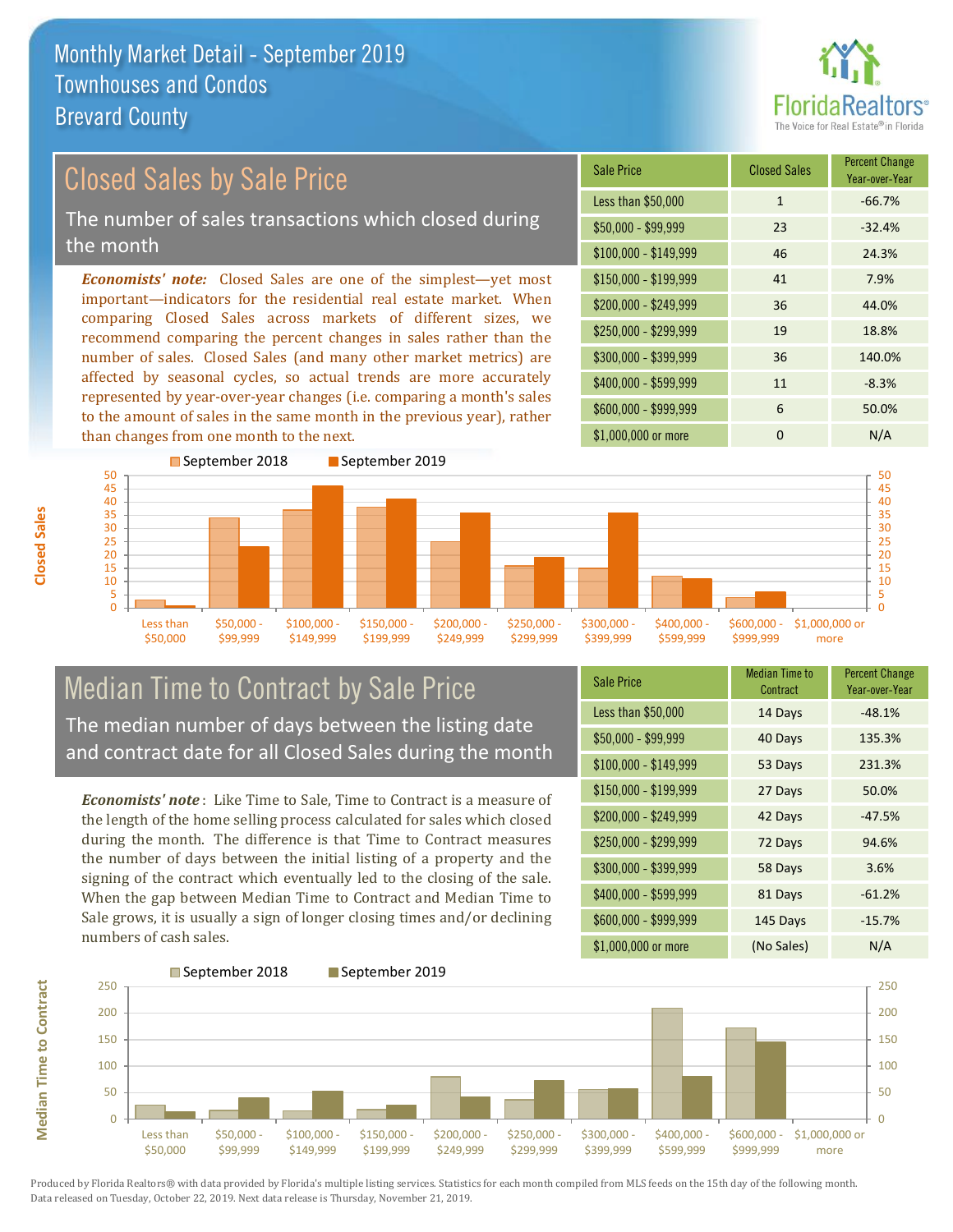

#### \$100,000 - \$149,999 46 24.3% Sale Price Closed Sales Percent Change Year-over-Year Less than \$50,000 1 1 -66.7%  $$50,000 - $99,999$  23 -32.4% \$150,000 - \$199,999 41 7.9% \$200,000 - \$249,999 36 44.0%  $$400,000 - $599,999$  11 -8.3% \$600,000 - \$999,999 6 50.0% *Economists' note:* Closed Sales are one of the simplest—yet most important—indicators for the residential real estate market. When comparing Closed Sales across markets of different sizes, we recommend comparing the percent changes in sales rather than the number of sales. Closed Sales (and many other market metrics) are affected by seasonal cycles, so actual trends are more accurately represented by year-over-year changes (i.e. comparing a month's sales to the amount of sales in the same month in the previous year), rather than changes from one month to the next. \$1,000,000 or more 0 0 N/A \$250,000 - \$299,999 19 18.8% \$300,000 - \$399,999 36 140.0% Closed Sales by Sale Price The number of sales transactions which closed during the month



## Median Time to Contract by Sale Price The median number of days between the listing date and contract date for all Closed Sales during the month

*Economists' note* : Like Time to Sale, Time to Contract is a measure of the length of the home selling process calculated for sales which closed during the month. The difference is that Time to Contract measures the number of days between the initial listing of a property and the signing of the contract which eventually led to the closing of the sale. When the gap between Median Time to Contract and Median Time to Sale grows, it is usually a sign of longer closing times and/or declining numbers of cash sales.

| <b>Sale Price</b>     | <b>Median Time to</b><br>Contract | <b>Percent Change</b><br>Year-over-Year |
|-----------------------|-----------------------------------|-----------------------------------------|
| Less than \$50,000    | 14 Days                           | $-48.1%$                                |
| $$50,000 - $99,999$   | 40 Days                           | 135.3%                                  |
| $$100,000 - $149,999$ | 53 Days                           | 231.3%                                  |
| \$150,000 - \$199,999 | 27 Days                           | 50.0%                                   |
| \$200,000 - \$249,999 | 42 Days                           | $-47.5%$                                |
| \$250,000 - \$299,999 | 72 Days                           | 94.6%                                   |
| \$300,000 - \$399,999 | 58 Days                           | 3.6%                                    |
| \$400,000 - \$599,999 | 81 Days                           | $-61.2%$                                |
| \$600,000 - \$999,999 | 145 Days                          | $-15.7%$                                |
| \$1,000,000 or more   | (No Sales)                        | N/A                                     |



**Closed Sales**

**Median Time to Contract Median Time to Contract**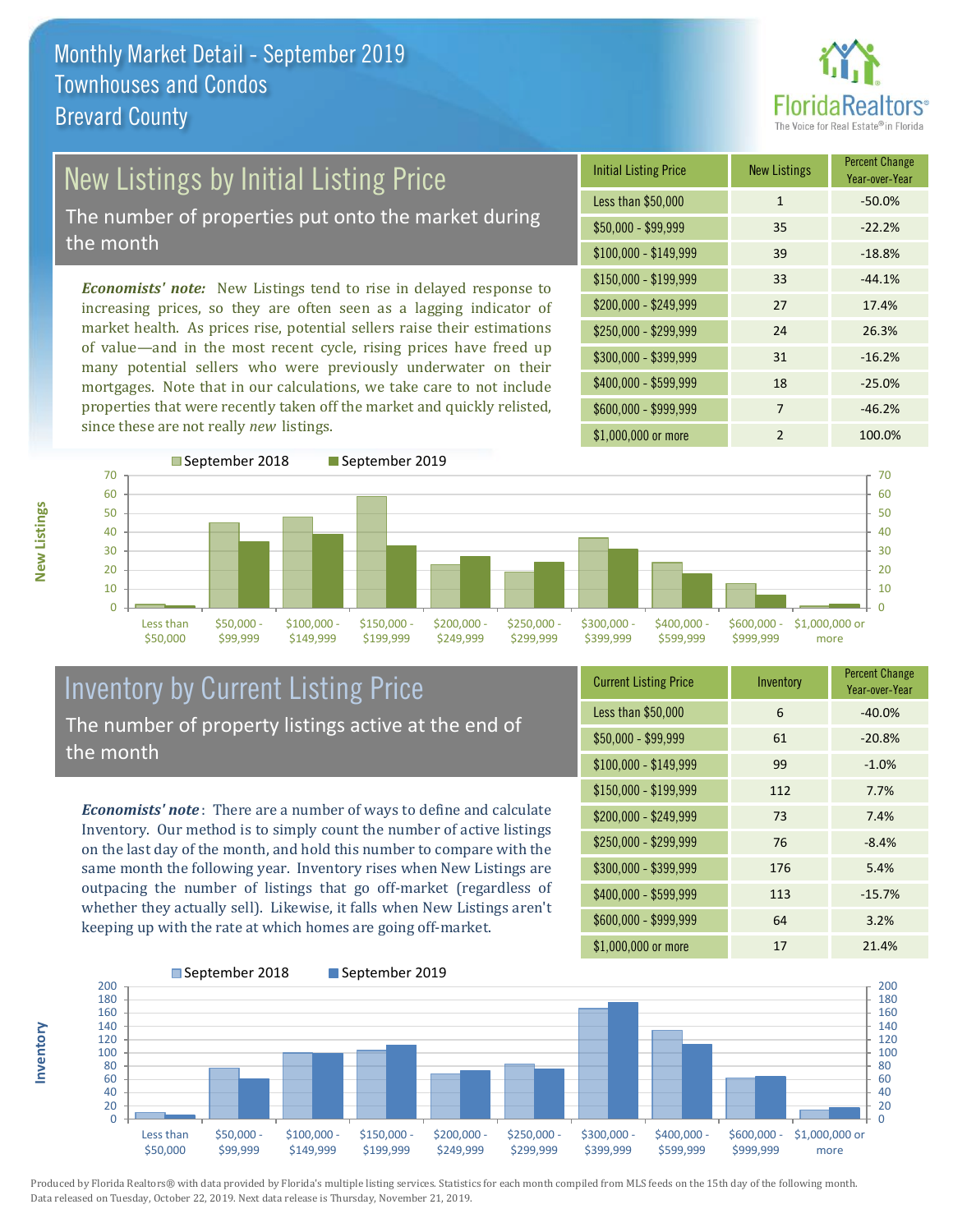

# New Listings by Initial Listing Price

The number of properties put onto the market during the month

*Economists' note:* New Listings tend to rise in delayed response to increasing prices, so they are often seen as a lagging indicator of market health. As prices rise, potential sellers raise their estimations of value—and in the most recent cycle, rising prices have freed up many potential sellers who were previously underwater on their mortgages. Note that in our calculations, we take care to not include properties that were recently taken off the market and quickly relisted, since these are not really *new* listings.

| <b>Initial Listing Price</b> | <b>New Listings</b> | <b>Percent Change</b><br>Year-over-Year |
|------------------------------|---------------------|-----------------------------------------|
| Less than \$50,000           | $\mathbf{1}$        | $-50.0%$                                |
| $$50,000 - $99,999$          | 35                  | $-22.2%$                                |
| $$100,000 - $149,999$        | 39                  | $-18.8%$                                |
| $$150,000 - $199,999$        | 33                  | $-44.1%$                                |
| \$200,000 - \$249,999        | 27                  | 17.4%                                   |
| \$250,000 - \$299,999        | 24                  | 26.3%                                   |
| \$300,000 - \$399,999        | 31                  | $-16.2%$                                |
| \$400,000 - \$599,999        | 18                  | $-25.0%$                                |
| \$600,000 - \$999,999        | 7                   | $-46.2%$                                |
| \$1,000,000 or more          | $\mathfrak{p}$      | 100.0%                                  |



## Inventory by Current Listing Price The number of property listings active at the end of the month

*Economists' note* : There are a number of ways to define and calculate Inventory. Our method is to simply count the number of active listings on the last day of the month, and hold this number to compare with the same month the following year. Inventory rises when New Listings are outpacing the number of listings that go off-market (regardless of whether they actually sell). Likewise, it falls when New Listings aren't keeping up with the rate at which homes are going off-market.

| <b>Current Listing Price</b> | Inventory | <b>Percent Change</b><br>Year-over-Year |
|------------------------------|-----------|-----------------------------------------|
| Less than \$50,000           | 6         | $-40.0%$                                |
| $$50,000 - $99,999$          | 61        | $-20.8%$                                |
| $$100,000 - $149,999$        | 99        | $-1.0%$                                 |
| $$150,000 - $199,999$        | 112       | 7.7%                                    |
| \$200,000 - \$249,999        | 73        | 7.4%                                    |
| \$250,000 - \$299,999        | 76        | $-8.4%$                                 |
| \$300,000 - \$399,999        | 176       | 5.4%                                    |
| \$400,000 - \$599,999        | 113       | $-15.7%$                                |
| \$600,000 - \$999,999        | 64        | 3.2%                                    |
| \$1,000,000 or more          | 17        | 21.4%                                   |



Produced by Florida Realtors® with data provided by Florida's multiple listing services. Statistics for each month compiled from MLS feeds on the 15th day of the following month. Data released on Tuesday, October 22, 2019. Next data release is Thursday, November 21, 2019.

**Inventory**